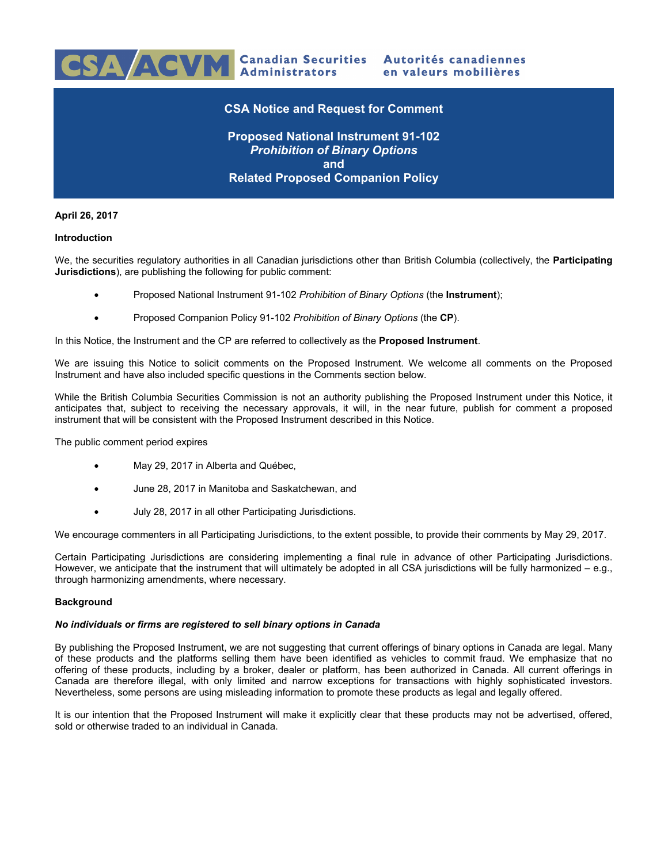

# **April 26, 2017**

### **Introduction**

We, the securities regulatory authorities in all Canadian jurisdictions other than British Columbia (collectively, the **Participating Jurisdictions**), are publishing the following for public comment:

- Proposed National Instrument 91-102 *Prohibition of Binary Options* (the **Instrument**);
- Proposed Companion Policy 91-102 *Prohibition of Binary Options* (the **CP**).

In this Notice, the Instrument and the CP are referred to collectively as the **Proposed Instrument**.

We are issuing this Notice to solicit comments on the Proposed Instrument. We welcome all comments on the Proposed Instrument and have also included specific questions in the Comments section below.

While the British Columbia Securities Commission is not an authority publishing the Proposed Instrument under this Notice, it anticipates that, subject to receiving the necessary approvals, it will, in the near future, publish for comment a proposed instrument that will be consistent with the Proposed Instrument described in this Notice.

The public comment period expires

- May 29, 2017 in Alberta and Québec,
- June 28, 2017 in Manitoba and Saskatchewan, and
- July 28, 2017 in all other Participating Jurisdictions.

We encourage commenters in all Participating Jurisdictions, to the extent possible, to provide their comments by May 29, 2017.

Certain Participating Jurisdictions are considering implementing a final rule in advance of other Participating Jurisdictions. However, we anticipate that the instrument that will ultimately be adopted in all CSA jurisdictions will be fully harmonized – e.g., through harmonizing amendments, where necessary.

# **Background**

#### *No individuals or firms are registered to sell binary options in Canada*

By publishing the Proposed Instrument, we are not suggesting that current offerings of binary options in Canada are legal. Many of these products and the platforms selling them have been identified as vehicles to commit fraud. We emphasize that no offering of these products, including by a broker, dealer or platform, has been authorized in Canada. All current offerings in Canada are therefore illegal, with only limited and narrow exceptions for transactions with highly sophisticated investors. Nevertheless, some persons are using misleading information to promote these products as legal and legally offered.

It is our intention that the Proposed Instrument will make it explicitly clear that these products may not be advertised, offered, sold or otherwise traded to an individual in Canada.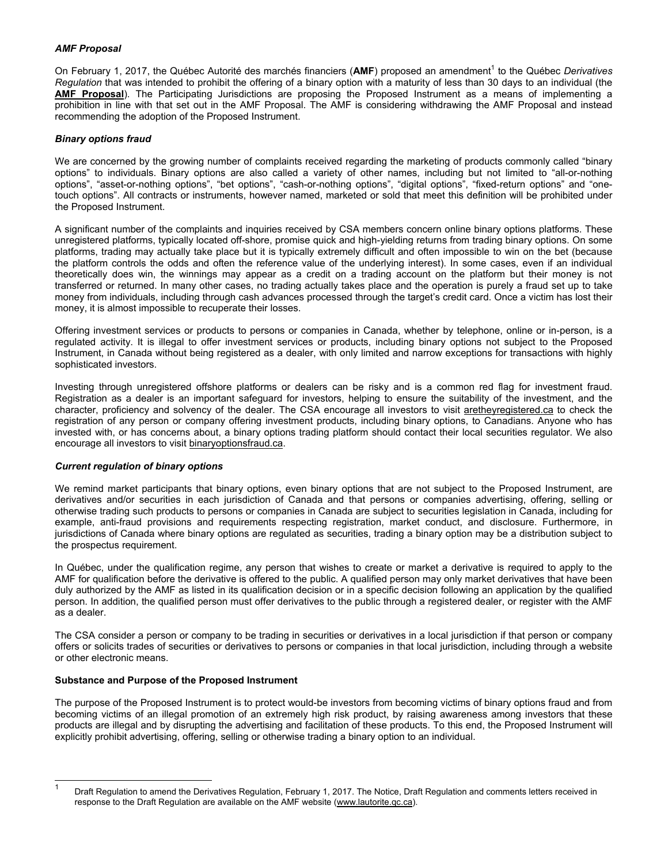# *AMF Proposal*

On February 1, 2017, the Québec Autorité des marchés financiers (AMF) proposed an amendment<sup>1</sup> to the Québec Derivatives *Regulation* that was intended to prohibit the offering of a binary option with a maturity of less than 30 days to an individual (the **AMF Proposal**). The Participating Jurisdictions are proposing the Proposed Instrument as a means of implementing a prohibition in line with that set out in the AMF Proposal. The AMF is considering withdrawing the AMF Proposal and instead recommending the adoption of the Proposed Instrument.

# *Binary options fraud*

We are concerned by the growing number of complaints received regarding the marketing of products commonly called "binary options" to individuals. Binary options are also called a variety of other names, including but not limited to "all-or-nothing options", "asset-or-nothing options", "bet options", "cash-or-nothing options", "digital options", "fixed-return options" and "onetouch options". All contracts or instruments, however named, marketed or sold that meet this definition will be prohibited under the Proposed Instrument.

A significant number of the complaints and inquiries received by CSA members concern online binary options platforms. These unregistered platforms, typically located off-shore, promise quick and high-yielding returns from trading binary options. On some platforms, trading may actually take place but it is typically extremely difficult and often impossible to win on the bet (because the platform controls the odds and often the reference value of the underlying interest). In some cases, even if an individual theoretically does win, the winnings may appear as a credit on a trading account on the platform but their money is not transferred or returned. In many other cases, no trading actually takes place and the operation is purely a fraud set up to take money from individuals, including through cash advances processed through the target's credit card. Once a victim has lost their money, it is almost impossible to recuperate their losses.

Offering investment services or products to persons or companies in Canada, whether by telephone, online or in-person, is a regulated activity. It is illegal to offer investment services or products, including binary options not subject to the Proposed Instrument, in Canada without being registered as a dealer, with only limited and narrow exceptions for transactions with highly sophisticated investors.

Investing through unregistered offshore platforms or dealers can be risky and is a common red flag for investment fraud. Registration as a dealer is an important safeguard for investors, helping to ensure the suitability of the investment, and the character, proficiency and solvency of the dealer. The CSA encourage all investors to visit aretheyregistered.ca to check the registration of any person or company offering investment products, including binary options, to Canadians. Anyone who has invested with, or has concerns about, a binary options trading platform should contact their local securities regulator. We also encourage all investors to visit binaryoptionsfraud.ca.

# *Current regulation of binary options*

We remind market participants that binary options, even binary options that are not subject to the Proposed Instrument, are derivatives and/or securities in each jurisdiction of Canada and that persons or companies advertising, offering, selling or otherwise trading such products to persons or companies in Canada are subject to securities legislation in Canada, including for example, anti-fraud provisions and requirements respecting registration, market conduct, and disclosure. Furthermore, in jurisdictions of Canada where binary options are regulated as securities, trading a binary option may be a distribution subject to the prospectus requirement.

In Québec, under the qualification regime, any person that wishes to create or market a derivative is required to apply to the AMF for qualification before the derivative is offered to the public. A qualified person may only market derivatives that have been duly authorized by the AMF as listed in its qualification decision or in a specific decision following an application by the qualified person. In addition, the qualified person must offer derivatives to the public through a registered dealer, or register with the AMF as a dealer.

The CSA consider a person or company to be trading in securities or derivatives in a local jurisdiction if that person or company offers or solicits trades of securities or derivatives to persons or companies in that local jurisdiction, including through a website or other electronic means.

# **Substance and Purpose of the Proposed Instrument**

l

The purpose of the Proposed Instrument is to protect would-be investors from becoming victims of binary options fraud and from becoming victims of an illegal promotion of an extremely high risk product, by raising awareness among investors that these products are illegal and by disrupting the advertising and facilitation of these products. To this end, the Proposed Instrument will explicitly prohibit advertising, offering, selling or otherwise trading a binary option to an individual.

<sup>1</sup> Draft Regulation to amend the Derivatives Regulation, February 1, 2017. The Notice, Draft Regulation and comments letters received in response to the Draft Regulation are available on the AMF website (www.lautorite.qc.ca).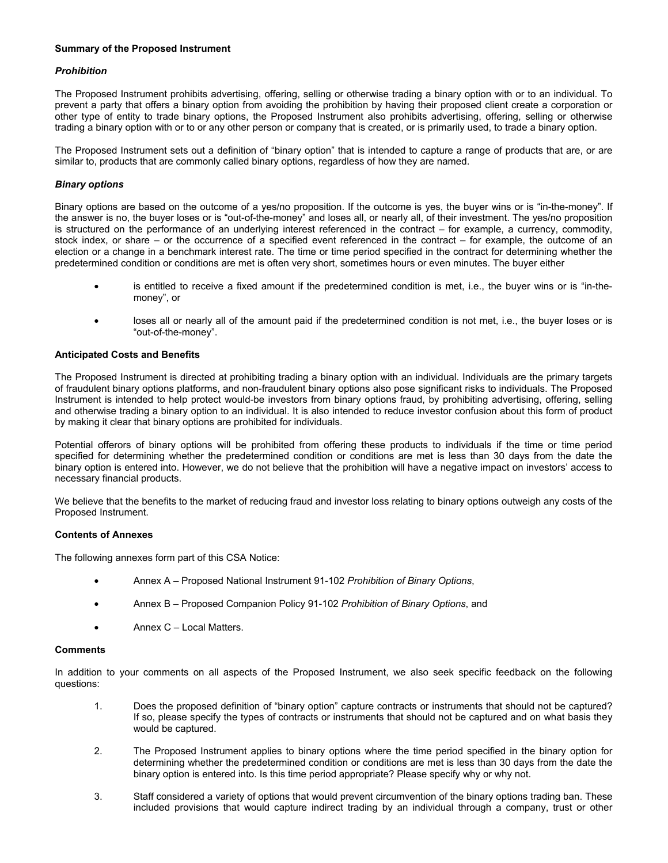# **Summary of the Proposed Instrument**

# *Prohibition*

The Proposed Instrument prohibits advertising, offering, selling or otherwise trading a binary option with or to an individual. To prevent a party that offers a binary option from avoiding the prohibition by having their proposed client create a corporation or other type of entity to trade binary options, the Proposed Instrument also prohibits advertising, offering, selling or otherwise trading a binary option with or to or any other person or company that is created, or is primarily used, to trade a binary option.

The Proposed Instrument sets out a definition of "binary option" that is intended to capture a range of products that are, or are similar to, products that are commonly called binary options, regardless of how they are named.

# *Binary options*

Binary options are based on the outcome of a yes/no proposition. If the outcome is yes, the buyer wins or is "in-the-money". If the answer is no, the buyer loses or is "out-of-the-money" and loses all, or nearly all, of their investment. The yes/no proposition is structured on the performance of an underlying interest referenced in the contract – for example, a currency, commodity, stock index, or share – or the occurrence of a specified event referenced in the contract – for example, the outcome of an election or a change in a benchmark interest rate. The time or time period specified in the contract for determining whether the predetermined condition or conditions are met is often very short, sometimes hours or even minutes. The buyer either

- is entitled to receive a fixed amount if the predetermined condition is met, i.e., the buyer wins or is "in-themoney", or
- loses all or nearly all of the amount paid if the predetermined condition is not met, i.e., the buyer loses or is "out-of-the-money".

### **Anticipated Costs and Benefits**

The Proposed Instrument is directed at prohibiting trading a binary option with an individual. Individuals are the primary targets of fraudulent binary options platforms, and non-fraudulent binary options also pose significant risks to individuals. The Proposed Instrument is intended to help protect would-be investors from binary options fraud, by prohibiting advertising, offering, selling and otherwise trading a binary option to an individual. It is also intended to reduce investor confusion about this form of product by making it clear that binary options are prohibited for individuals.

Potential offerors of binary options will be prohibited from offering these products to individuals if the time or time period specified for determining whether the predetermined condition or conditions are met is less than 30 days from the date the binary option is entered into. However, we do not believe that the prohibition will have a negative impact on investors' access to necessary financial products.

We believe that the benefits to the market of reducing fraud and investor loss relating to binary options outweigh any costs of the Proposed Instrument.

#### **Contents of Annexes**

The following annexes form part of this CSA Notice:

- Annex A Proposed National Instrument 91-102 *Prohibition of Binary Options*,
- Annex B Proposed Companion Policy 91-102 *Prohibition of Binary Options*, and
- Annex C Local Matters.

#### **Comments**

In addition to your comments on all aspects of the Proposed Instrument, we also seek specific feedback on the following questions:

- 1. Does the proposed definition of "binary option" capture contracts or instruments that should not be captured? If so, please specify the types of contracts or instruments that should not be captured and on what basis they would be captured.
- 2. The Proposed Instrument applies to binary options where the time period specified in the binary option for determining whether the predetermined condition or conditions are met is less than 30 days from the date the binary option is entered into. Is this time period appropriate? Please specify why or why not.
- 3. Staff considered a variety of options that would prevent circumvention of the binary options trading ban. These included provisions that would capture indirect trading by an individual through a company, trust or other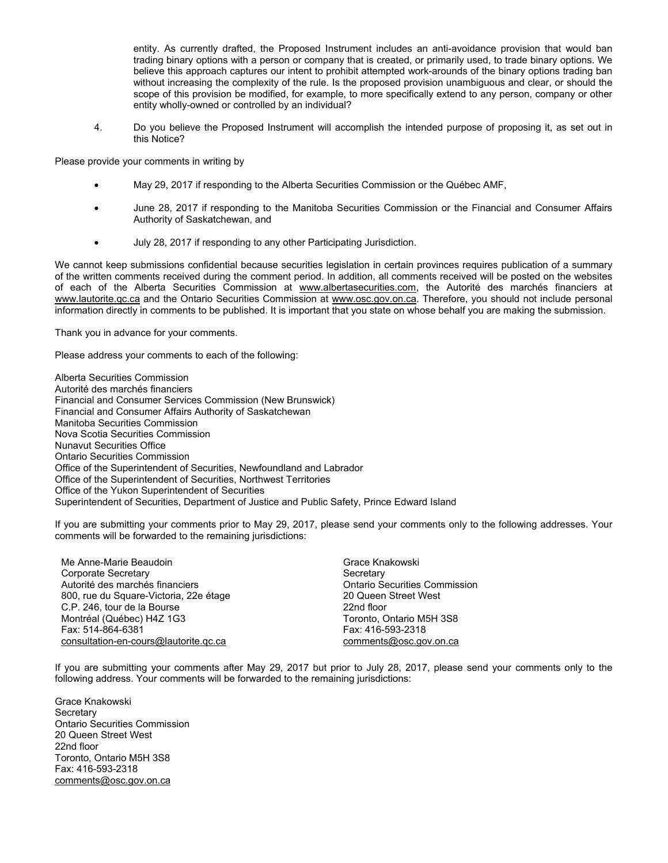entity. As currently drafted, the Proposed Instrument includes an anti-avoidance provision that would ban trading binary options with a person or company that is created, or primarily used, to trade binary options. We believe this approach captures our intent to prohibit attempted work-arounds of the binary options trading ban without increasing the complexity of the rule. Is the proposed provision unambiguous and clear, or should the scope of this provision be modified, for example, to more specifically extend to any person, company or other entity wholly-owned or controlled by an individual?

4. Do you believe the Proposed Instrument will accomplish the intended purpose of proposing it, as set out in this Notice?

Please provide your comments in writing by

- May 29, 2017 if responding to the Alberta Securities Commission or the Québec AMF,
- June 28, 2017 if responding to the Manitoba Securities Commission or the Financial and Consumer Affairs Authority of Saskatchewan, and
- July 28, 2017 if responding to any other Participating Jurisdiction.

We cannot keep submissions confidential because securities legislation in certain provinces requires publication of a summary of the written comments received during the comment period. In addition, all comments received will be posted on the websites of each of the Alberta Securities Commission at www.albertasecurities.com, the Autorité des marchés financiers at www.lautorite.qc.ca and the Ontario Securities Commission at www.osc.gov.on.ca. Therefore, you should not include personal information directly in comments to be published. It is important that you state on whose behalf you are making the submission.

Thank you in advance for your comments.

Please address your comments to each of the following:

Alberta Securities Commission Autorité des marchés financiers Financial and Consumer Services Commission (New Brunswick) Financial and Consumer Affairs Authority of Saskatchewan Manitoba Securities Commission Nova Scotia Securities Commission Nunavut Securities Office Ontario Securities Commission Office of the Superintendent of Securities, Newfoundland and Labrador Office of the Superintendent of Securities, Northwest Territories Office of the Yukon Superintendent of Securities Superintendent of Securities, Department of Justice and Public Safety, Prince Edward Island

If you are submitting your comments prior to May 29, 2017, please send your comments only to the following addresses. Your comments will be forwarded to the remaining jurisdictions:

Me Anne-Marie Beaudoin Corporate Secretary Autorité des marchés financiers 800, rue du Square-Victoria, 22e étage C.P. 246, tour de la Bourse Montréal (Québec) H4Z 1G3 Fax: 514-864-6381 consultation-en-cours@lautorite.qc.ca

Grace Knakowski **Secretary** Ontario Securities Commission 20 Queen Street West 22nd floor Toronto, Ontario M5H 3S8 Fax: 416-593-2318 comments@osc.gov.on.ca

If you are submitting your comments after May 29, 2017 but prior to July 28, 2017, please send your comments only to the following address. Your comments will be forwarded to the remaining jurisdictions:

Grace Knakowski **Secretary** Ontario Securities Commission 20 Queen Street West 22nd floor Toronto, Ontario M5H 3S8 Fax: 416-593-2318 comments@osc.gov.on.ca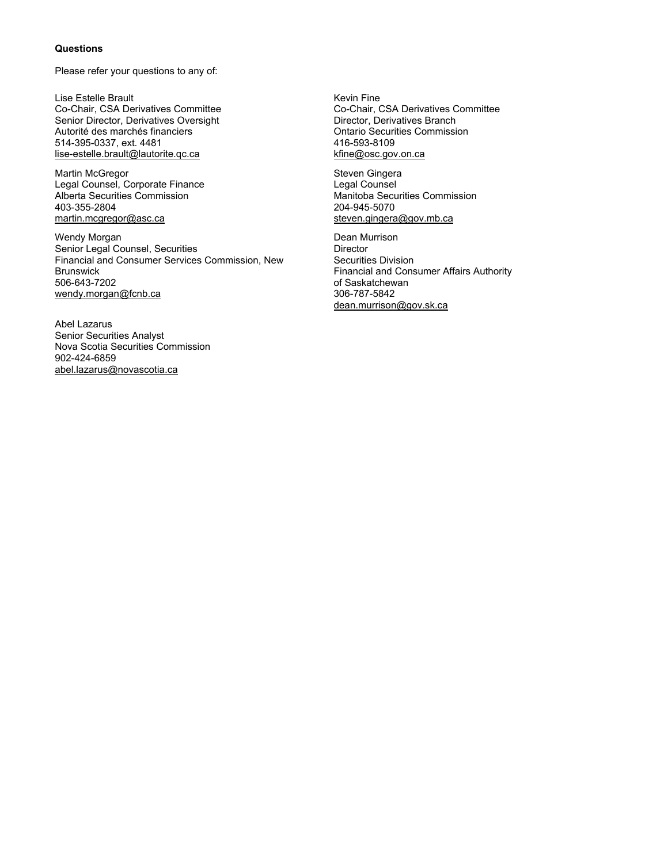### **Questions**

Please refer your questions to any of:

Lise Estelle Brault Co-Chair, CSA Derivatives Committee Senior Director, Derivatives Oversight Autorité des marchés financiers 514-395-0337, ext. 4481 lise-estelle.brault@lautorite.qc.ca

Martin McGregor Legal Counsel, Corporate Finance Alberta Securities Commission 403-355-2804 martin.mcgregor@asc.ca

Wendy Morgan Senior Legal Counsel, Securities Financial and Consumer Services Commission, New Brunswick 506-643-7202 wendy.morgan@fcnb.ca

Abel Lazarus Senior Securities Analyst Nova Scotia Securities Commission 902-424-6859 abel.lazarus@novascotia.ca

Kevin Fine Co-Chair, CSA Derivatives Committee Director, Derivatives Branch Ontario Securities Commission 416-593-8109 kfine@osc.gov.on.ca

Steven Gingera Legal Counsel Manitoba Securities Commission 204-945-5070 steven.gingera@gov.mb.ca

Dean Murrison **Director** Securities Division Financial and Consumer Affairs Authority of Saskatchewan 306-787-5842 dean.murrison@gov.sk.ca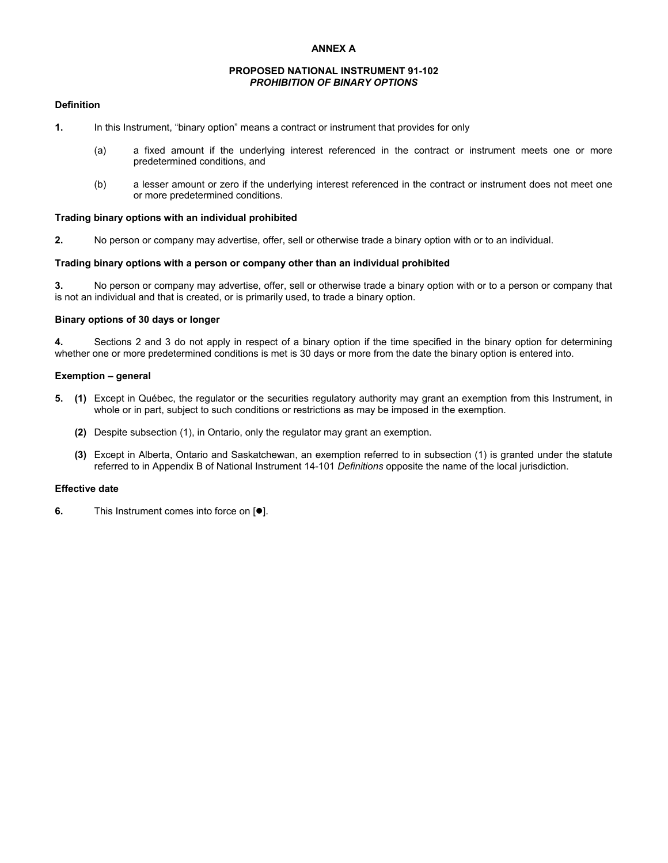### **ANNEX A**

### **PROPOSED NATIONAL INSTRUMENT 91-102**  *PROHIBITION OF BINARY OPTIONS*

#### **Definition**

- **1.** In this Instrument, "binary option" means a contract or instrument that provides for only
	- (a) a fixed amount if the underlying interest referenced in the contract or instrument meets one or more predetermined conditions, and
	- (b) a lesser amount or zero if the underlying interest referenced in the contract or instrument does not meet one or more predetermined conditions.

### **Trading binary options with an individual prohibited**

**2.** No person or company may advertise, offer, sell or otherwise trade a binary option with or to an individual.

## **Trading binary options with a person or company other than an individual prohibited**

**3.** No person or company may advertise, offer, sell or otherwise trade a binary option with or to a person or company that is not an individual and that is created, or is primarily used, to trade a binary option.

### **Binary options of 30 days or longer**

**4.** Sections 2 and 3 do not apply in respect of a binary option if the time specified in the binary option for determining whether one or more predetermined conditions is met is 30 days or more from the date the binary option is entered into.

### **Exemption – general**

- **5. (1)** Except in Québec, the regulator or the securities regulatory authority may grant an exemption from this Instrument, in whole or in part, subject to such conditions or restrictions as may be imposed in the exemption.
	- **(2)** Despite subsection (1), in Ontario, only the regulator may grant an exemption.
	- **(3)** Except in Alberta, Ontario and Saskatchewan, an exemption referred to in subsection (1) is granted under the statute referred to in Appendix B of National Instrument 14-101 *Definitions* opposite the name of the local jurisdiction.

# **Effective date**

**6.** This Instrument comes into force on  $[•]$ .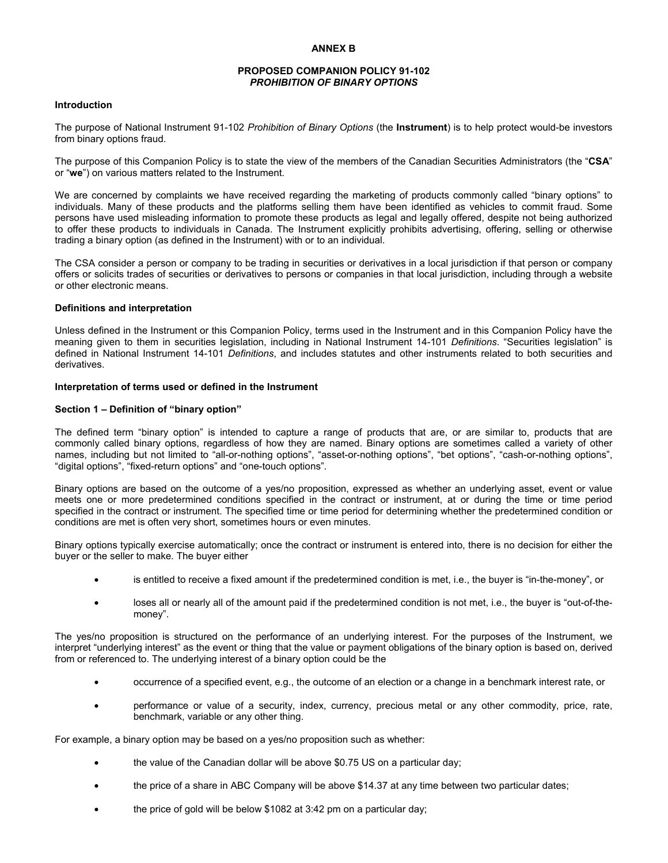### **PROPOSED COMPANION POLICY 91-102**  *PROHIBITION OF BINARY OPTIONS*

#### **Introduction**

The purpose of National Instrument 91-102 *Prohibition of Binary Options* (the **Instrument**) is to help protect would-be investors from binary options fraud.

The purpose of this Companion Policy is to state the view of the members of the Canadian Securities Administrators (the "**CSA**" or "**we**") on various matters related to the Instrument.

We are concerned by complaints we have received regarding the marketing of products commonly called "binary options" to individuals. Many of these products and the platforms selling them have been identified as vehicles to commit fraud. Some persons have used misleading information to promote these products as legal and legally offered, despite not being authorized to offer these products to individuals in Canada. The Instrument explicitly prohibits advertising, offering, selling or otherwise trading a binary option (as defined in the Instrument) with or to an individual.

The CSA consider a person or company to be trading in securities or derivatives in a local jurisdiction if that person or company offers or solicits trades of securities or derivatives to persons or companies in that local jurisdiction, including through a website or other electronic means.

#### **Definitions and interpretation**

Unless defined in the Instrument or this Companion Policy, terms used in the Instrument and in this Companion Policy have the meaning given to them in securities legislation, including in National Instrument 14-101 *Definitions*. "Securities legislation" is defined in National Instrument 14-101 *Definitions*, and includes statutes and other instruments related to both securities and derivatives.

# **Interpretation of terms used or defined in the Instrument**

#### **Section 1 – Definition of "binary option"**

The defined term "binary option" is intended to capture a range of products that are, or are similar to, products that are commonly called binary options, regardless of how they are named. Binary options are sometimes called a variety of other names, including but not limited to "all-or-nothing options", "asset-or-nothing options", "bet options", "cash-or-nothing options", "digital options", "fixed-return options" and "one-touch options".

Binary options are based on the outcome of a yes/no proposition, expressed as whether an underlying asset, event or value meets one or more predetermined conditions specified in the contract or instrument, at or during the time or time period specified in the contract or instrument. The specified time or time period for determining whether the predetermined condition or conditions are met is often very short, sometimes hours or even minutes.

Binary options typically exercise automatically; once the contract or instrument is entered into, there is no decision for either the buyer or the seller to make. The buyer either

- is entitled to receive a fixed amount if the predetermined condition is met, i.e., the buyer is "in-the-money", or
- loses all or nearly all of the amount paid if the predetermined condition is not met, i.e., the buyer is "out-of-themoney".

The yes/no proposition is structured on the performance of an underlying interest. For the purposes of the Instrument, we interpret "underlying interest" as the event or thing that the value or payment obligations of the binary option is based on, derived from or referenced to. The underlying interest of a binary option could be the

- occurrence of a specified event, e.g., the outcome of an election or a change in a benchmark interest rate, or
- performance or value of a security, index, currency, precious metal or any other commodity, price, rate, benchmark, variable or any other thing.

For example, a binary option may be based on a yes/no proposition such as whether:

- the value of the Canadian dollar will be above \$0.75 US on a particular day;
- the price of a share in ABC Company will be above \$14.37 at any time between two particular dates;
- the price of gold will be below \$1082 at 3:42 pm on a particular day;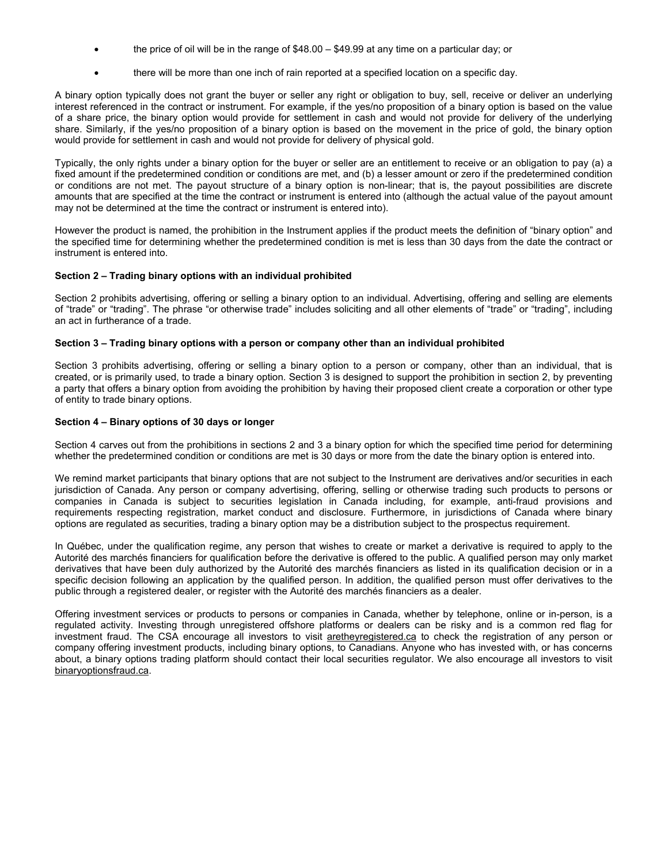- the price of oil will be in the range of \$48.00 \$49.99 at any time on a particular day; or
- there will be more than one inch of rain reported at a specified location on a specific day.

A binary option typically does not grant the buyer or seller any right or obligation to buy, sell, receive or deliver an underlying interest referenced in the contract or instrument. For example, if the yes/no proposition of a binary option is based on the value of a share price, the binary option would provide for settlement in cash and would not provide for delivery of the underlying share. Similarly, if the yes/no proposition of a binary option is based on the movement in the price of gold, the binary option would provide for settlement in cash and would not provide for delivery of physical gold.

Typically, the only rights under a binary option for the buyer or seller are an entitlement to receive or an obligation to pay (a) a fixed amount if the predetermined condition or conditions are met, and (b) a lesser amount or zero if the predetermined condition or conditions are not met. The payout structure of a binary option is non-linear; that is, the payout possibilities are discrete amounts that are specified at the time the contract or instrument is entered into (although the actual value of the payout amount may not be determined at the time the contract or instrument is entered into).

However the product is named, the prohibition in the Instrument applies if the product meets the definition of "binary option" and the specified time for determining whether the predetermined condition is met is less than 30 days from the date the contract or instrument is entered into.

# **Section 2 – Trading binary options with an individual prohibited**

Section 2 prohibits advertising, offering or selling a binary option to an individual. Advertising, offering and selling are elements of "trade" or "trading". The phrase "or otherwise trade" includes soliciting and all other elements of "trade" or "trading", including an act in furtherance of a trade.

# **Section 3 – Trading binary options with a person or company other than an individual prohibited**

Section 3 prohibits advertising, offering or selling a binary option to a person or company, other than an individual, that is created, or is primarily used, to trade a binary option. Section 3 is designed to support the prohibition in section 2, by preventing a party that offers a binary option from avoiding the prohibition by having their proposed client create a corporation or other type of entity to trade binary options.

# **Section 4 – Binary options of 30 days or longer**

Section 4 carves out from the prohibitions in sections 2 and 3 a binary option for which the specified time period for determining whether the predetermined condition or conditions are met is 30 days or more from the date the binary option is entered into.

We remind market participants that binary options that are not subject to the Instrument are derivatives and/or securities in each jurisdiction of Canada. Any person or company advertising, offering, selling or otherwise trading such products to persons or companies in Canada is subject to securities legislation in Canada including, for example, anti-fraud provisions and requirements respecting registration, market conduct and disclosure. Furthermore, in jurisdictions of Canada where binary options are regulated as securities, trading a binary option may be a distribution subject to the prospectus requirement.

In Québec, under the qualification regime, any person that wishes to create or market a derivative is required to apply to the Autorité des marchés financiers for qualification before the derivative is offered to the public. A qualified person may only market derivatives that have been duly authorized by the Autorité des marchés financiers as listed in its qualification decision or in a specific decision following an application by the qualified person. In addition, the qualified person must offer derivatives to the public through a registered dealer, or register with the Autorité des marchés financiers as a dealer.

Offering investment services or products to persons or companies in Canada, whether by telephone, online or in-person, is a regulated activity. Investing through unregistered offshore platforms or dealers can be risky and is a common red flag for investment fraud. The CSA encourage all investors to visit aretheyregistered.ca to check the registration of any person or company offering investment products, including binary options, to Canadians. Anyone who has invested with, or has concerns about, a binary options trading platform should contact their local securities regulator. We also encourage all investors to visit binaryoptionsfraud.ca.